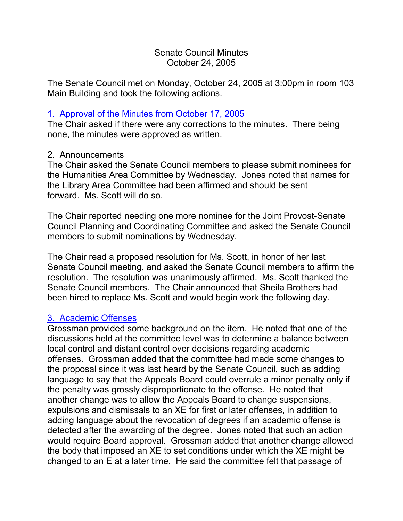## Senate Council Minutes October 24, 2005

The Senate Council met on Monday, October 24, 2005 at 3:00pm in room 103 Main Building and took the following actions.

## 1. [Approval of the Minutes from October 17, 2005](http://www.uky.edu/USC/New/SCMinutes/SC%20Minutes%20October%2017,%202005%20FINAL.htm)

The Chair asked if there were any corrections to the minutes. There being none, the minutes were approved as written.

### 2. Announcements

The Chair asked the Senate Council members to please submit nominees for the Humanities Area Committee by Wednesday. Jones noted that names for the Library Area Committee had been affirmed and should be sent forward. Ms. Scott will do so.

The Chair reported needing one more nominee for the Joint Provost-Senate Council Planning and Coordinating Committee and asked the Senate Council members to submit nominations by Wednesday.

The Chair read a proposed resolution for Ms. Scott, in honor of her last Senate Council meeting, and asked the Senate Council members to affirm the resolution. The resolution was unanimously affirmed. Ms. Scott thanked the Senate Council members. The Chair announced that Sheila Brothers had been hired to replace Ms. Scott and would begin work the following day.

# 3. [Academic Offenses](http://www.chem.uky.edu/research/grossman/prop_acad_offenses.pdf)

Grossman provided some background on the item. He noted that one of the discussions held at the committee level was to determine a balance between local control and distant control over decisions regarding academic offenses. Grossman added that the committee had made some changes to the proposal since it was last heard by the Senate Council, such as adding language to say that the Appeals Board could overrule a minor penalty only if the penalty was grossly disproportionate to the offense. He noted that another change was to allow the Appeals Board to change suspensions, expulsions and dismissals to an XE for first or later offenses, in addition to adding language about the revocation of degrees if an academic offense is detected after the awarding of the degree. Jones noted that such an action would require Board approval. Grossman added that another change allowed the body that imposed an XE to set conditions under which the XE might be changed to an E at a later time. He said the committee felt that passage of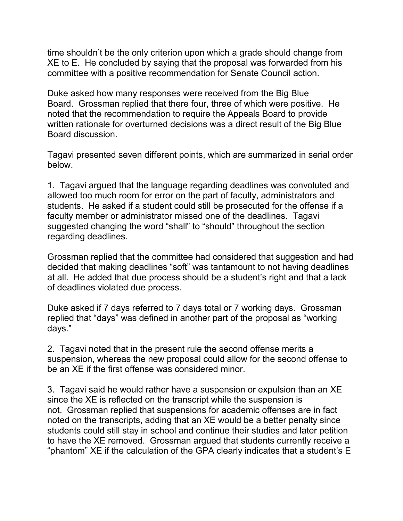time shouldn't be the only criterion upon which a grade should change from XE to E. He concluded by saying that the proposal was forwarded from his committee with a positive recommendation for Senate Council action.

Duke asked how many responses were received from the Big Blue Board. Grossman replied that there four, three of which were positive. He noted that the recommendation to require the Appeals Board to provide written rationale for overturned decisions was a direct result of the Big Blue Board discussion.

Tagavi presented seven different points, which are summarized in serial order below.

1. Tagavi argued that the language regarding deadlines was convoluted and allowed too much room for error on the part of faculty, administrators and students. He asked if a student could still be prosecuted for the offense if a faculty member or administrator missed one of the deadlines. Tagavi suggested changing the word "shall" to "should" throughout the section regarding deadlines.

Grossman replied that the committee had considered that suggestion and had decided that making deadlines "soft" was tantamount to not having deadlines at all. He added that due process should be a student's right and that a lack of deadlines violated due process.

Duke asked if 7 days referred to 7 days total or 7 working days. Grossman replied that "days" was defined in another part of the proposal as "working days."

2. Tagavi noted that in the present rule the second offense merits a suspension, whereas the new proposal could allow for the second offense to be an XE if the first offense was considered minor.

3. Tagavi said he would rather have a suspension or expulsion than an XE since the XE is reflected on the transcript while the suspension is not. Grossman replied that suspensions for academic offenses are in fact noted on the transcripts, adding that an XE would be a better penalty since students could still stay in school and continue their studies and later petition to have the XE removed. Grossman argued that students currently receive a "phantom" XE if the calculation of the GPA clearly indicates that a student's E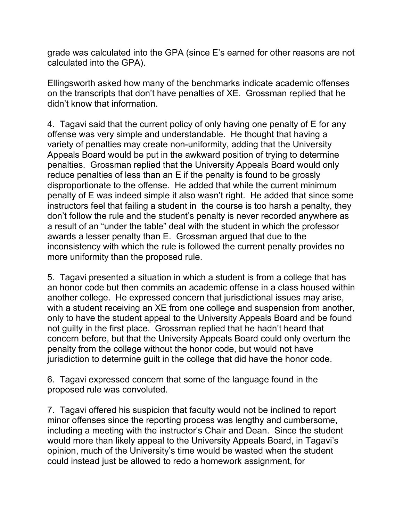grade was calculated into the GPA (since E's earned for other reasons are not calculated into the GPA).

Ellingsworth asked how many of the benchmarks indicate academic offenses on the transcripts that don't have penalties of XE. Grossman replied that he didn't know that information.

4. Tagavi said that the current policy of only having one penalty of E for any offense was very simple and understandable. He thought that having a variety of penalties may create non-uniformity, adding that the University Appeals Board would be put in the awkward position of trying to determine penalties. Grossman replied that the University Appeals Board would only reduce penalties of less than an E if the penalty is found to be grossly disproportionate to the offense. He added that while the current minimum penalty of E was indeed simple it also wasn't right. He added that since some instructors feel that failing a student in the course is too harsh a penalty, they don't follow the rule and the student's penalty is never recorded anywhere as a result of an "under the table" deal with the student in which the professor awards a lesser penalty than E. Grossman argued that due to the inconsistency with which the rule is followed the current penalty provides no more uniformity than the proposed rule.

5. Tagavi presented a situation in which a student is from a college that has an honor code but then commits an academic offense in a class housed within another college. He expressed concern that jurisdictional issues may arise, with a student receiving an XE from one college and suspension from another, only to have the student appeal to the University Appeals Board and be found not guilty in the first place. Grossman replied that he hadn't heard that concern before, but that the University Appeals Board could only overturn the penalty from the college without the honor code, but would not have jurisdiction to determine guilt in the college that did have the honor code.

6. Tagavi expressed concern that some of the language found in the proposed rule was convoluted.

7. Tagavi offered his suspicion that faculty would not be inclined to report minor offenses since the reporting process was lengthy and cumbersome, including a meeting with the instructor's Chair and Dean. Since the student would more than likely appeal to the University Appeals Board, in Tagavi's opinion, much of the University's time would be wasted when the student could instead just be allowed to redo a homework assignment, for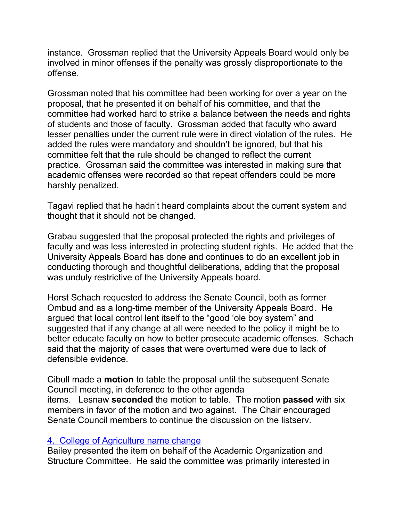instance. Grossman replied that the University Appeals Board would only be involved in minor offenses if the penalty was grossly disproportionate to the offense.

Grossman noted that his committee had been working for over a year on the proposal, that he presented it on behalf of his committee, and that the committee had worked hard to strike a balance between the needs and rights of students and those of faculty. Grossman added that faculty who award lesser penalties under the current rule were in direct violation of the rules. He added the rules were mandatory and shouldn't be ignored, but that his committee felt that the rule should be changed to reflect the current practice. Grossman said the committee was interested in making sure that academic offenses were recorded so that repeat offenders could be more harshly penalized.

Tagavi replied that he hadn't heard complaints about the current system and thought that it should not be changed.

Grabau suggested that the proposal protected the rights and privileges of faculty and was less interested in protecting student rights. He added that the University Appeals Board has done and continues to do an excellent job in conducting thorough and thoughtful deliberations, adding that the proposal was unduly restrictive of the University Appeals board.

Horst Schach requested to address the Senate Council, both as former Ombud and as a long-time member of the University Appeals Board. He argued that local control lent itself to the "good 'ole boy system" and suggested that if any change at all were needed to the policy it might be to better educate faculty on how to better prosecute academic offenses. Schach said that the majority of cases that were overturned were due to lack of defensible evidence.

Cibull made a **motion** to table the proposal until the subsequent Senate Council meeting, in deference to the other agenda items. Lesnaw **seconded** the motion to table. The motion **passed** with six members in favor of the motion and two against. The Chair encouraged Senate Council members to continue the discussion on the listserv.

#### 4. [College of Agriculture name change](http://www.uky.edu/USC/New/Comms/AcadOrgAndStructure/College%20of%20Agriculture%20Name%20Change.pdf)

Bailey presented the item on behalf of the Academic Organization and Structure Committee. He said the committee was primarily interested in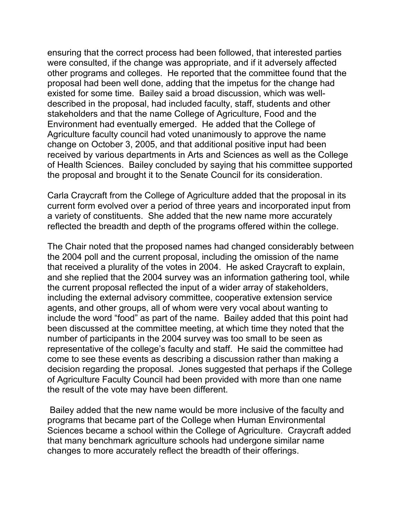ensuring that the correct process had been followed, that interested parties were consulted, if the change was appropriate, and if it adversely affected other programs and colleges. He reported that the committee found that the proposal had been well done, adding that the impetus for the change had existed for some time. Bailey said a broad discussion, which was welldescribed in the proposal, had included faculty, staff, students and other stakeholders and that the name College of Agriculture, Food and the Environment had eventually emerged. He added that the College of Agriculture faculty council had voted unanimously to approve the name change on October 3, 2005, and that additional positive input had been received by various departments in Arts and Sciences as well as the College of Health Sciences. Bailey concluded by saying that his committee supported the proposal and brought it to the Senate Council for its consideration.

Carla Craycraft from the College of Agriculture added that the proposal in its current form evolved over a period of three years and incorporated input from a variety of constituents. She added that the new name more accurately reflected the breadth and depth of the programs offered within the college.

The Chair noted that the proposed names had changed considerably between the 2004 poll and the current proposal, including the omission of the name that received a plurality of the votes in 2004. He asked Craycraft to explain, and she replied that the 2004 survey was an information gathering tool, while the current proposal reflected the input of a wider array of stakeholders, including the external advisory committee, cooperative extension service agents, and other groups, all of whom were very vocal about wanting to include the word "food" as part of the name. Bailey added that this point had been discussed at the committee meeting, at which time they noted that the number of participants in the 2004 survey was too small to be seen as representative of the college's faculty and staff. He said the committee had come to see these events as describing a discussion rather than making a decision regarding the proposal. Jones suggested that perhaps if the College of Agriculture Faculty Council had been provided with more than one name the result of the vote may have been different.

Bailey added that the new name would be more inclusive of the faculty and programs that became part of the College when Human Environmental Sciences became a school within the College of Agriculture. Craycraft added that many benchmark agriculture schools had undergone similar name changes to more accurately reflect the breadth of their offerings.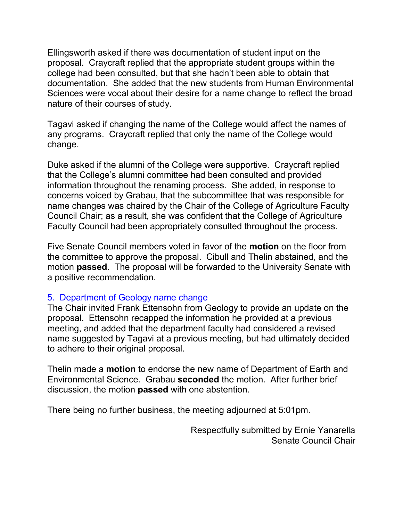Ellingsworth asked if there was documentation of student input on the proposal. Craycraft replied that the appropriate student groups within the college had been consulted, but that she hadn't been able to obtain that documentation. She added that the new students from Human Environmental Sciences were vocal about their desire for a name change to reflect the broad nature of their courses of study.

Tagavi asked if changing the name of the College would affect the names of any programs. Craycraft replied that only the name of the College would change.

Duke asked if the alumni of the College were supportive. Craycraft replied that the College's alumni committee had been consulted and provided information throughout the renaming process. She added, in response to concerns voiced by Grabau, that the subcommittee that was responsible for name changes was chaired by the Chair of the College of Agriculture Faculty Council Chair; as a result, she was confident that the College of Agriculture Faculty Council had been appropriately consulted throughout the process.

Five Senate Council members voted in favor of the **motion** on the floor from the committee to approve the proposal. Cibull and Thelin abstained, and the motion **passed**. The proposal will be forwarded to the University Senate with a positive recommendation.

# 5. Department [of Geology name change](http://www.uky.edu/USC/Comms/AOS/04-05/Geological%20Sciences.pdf)

The Chair invited Frank Ettensohn from Geology to provide an update on the proposal. Ettensohn recapped the information he provided at a previous meeting, and added that the department faculty had considered a revised name suggested by Tagavi at a previous meeting, but had ultimately decided to adhere to their original proposal.

Thelin made a **motion** to endorse the new name of Department of Earth and Environmental Science. Grabau **seconded** the motion. After further brief discussion, the motion **passed** with one abstention.

There being no further business, the meeting adjourned at 5:01pm.

Respectfully submitted by Ernie Yanarella Senate Council Chair